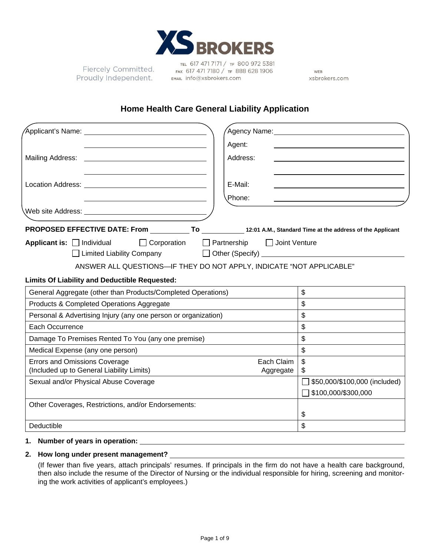

Fiercely Committed. Proudly Independent.

TEL 617 471 7171 / TF 800 972 5381 FAX 617 471 7180 / TF 888 628 1906 EMAIL info@xsbrokers.com

WEB xsbrokers.com

# **Home Health Care General Liability Application**

| Applicant's Name: <u>Campione Applicant</u>                                                |                                                                                                                                                                                                                                                                                    |                                                      |
|--------------------------------------------------------------------------------------------|------------------------------------------------------------------------------------------------------------------------------------------------------------------------------------------------------------------------------------------------------------------------------------|------------------------------------------------------|
|                                                                                            | Agent:                                                                                                                                                                                                                                                                             |                                                      |
| Mailing Address:<br><u> 1989 - Johann Stone, fransk politiker (d. 1989)</u>                | Address:                                                                                                                                                                                                                                                                           |                                                      |
|                                                                                            |                                                                                                                                                                                                                                                                                    |                                                      |
|                                                                                            | E-Mail:                                                                                                                                                                                                                                                                            |                                                      |
|                                                                                            | Phone:                                                                                                                                                                                                                                                                             |                                                      |
|                                                                                            |                                                                                                                                                                                                                                                                                    |                                                      |
| PROPOSED EFFECTIVE DATE: From To 12:01 A.M., Standard Time at the address of the Applicant |                                                                                                                                                                                                                                                                                    |                                                      |
| Applicant is: $\Box$ Individual<br>$\Box$ Corporation<br>Limited Liability Company         | $\Box$ Partnership<br>$\Box$ Joint Venture<br>Other (Specify) <u>Contains and the set of the set of the set of the set of the set of the set of the set of the set of the set of the set of the set of the set of the set of the set of the set of the set of the set of the s</u> |                                                      |
| ANSWER ALL QUESTIONS-IF THEY DO NOT APPLY, INDICATE "NOT APPLICABLE"                       |                                                                                                                                                                                                                                                                                    |                                                      |
| <b>Limits Of Liability and Deductible Requested:</b>                                       |                                                                                                                                                                                                                                                                                    |                                                      |
| General Aggregate (other than Products/Completed Operations)                               |                                                                                                                                                                                                                                                                                    | $\mathfrak{S}$                                       |
| Products & Completed Operations Aggregate                                                  |                                                                                                                                                                                                                                                                                    | $\mathfrak{L}$                                       |
| Personal & Advertising Injury (any one person or organization)                             |                                                                                                                                                                                                                                                                                    | \$                                                   |
| Each Occurrence                                                                            |                                                                                                                                                                                                                                                                                    | \$                                                   |
| Damage To Premises Rented To You (any one premise)                                         |                                                                                                                                                                                                                                                                                    | \$                                                   |
| Medical Expense (any one person)                                                           |                                                                                                                                                                                                                                                                                    | \$                                                   |
| <b>Errors and Omissions Coverage</b><br>(Included up to General Liability Limits)          | Each Claim<br>Aggregate                                                                                                                                                                                                                                                            | \$<br>\$                                             |
| Sexual and/or Physical Abuse Coverage                                                      |                                                                                                                                                                                                                                                                                    | \$50,000/\$100,000 (included)<br>\$100,000/\$300,000 |
| Other Coverages, Restrictions, and/or Endorsements:                                        |                                                                                                                                                                                                                                                                                    | \$                                                   |
|                                                                                            |                                                                                                                                                                                                                                                                                    | \$                                                   |

## **2. How long under present management?**

(If fewer than five years, attach principals' resumes. If principals in the firm do not have a health care background, then also include the resume of the Director of Nursing or the individual responsible for hiring, screening and monitoring the work activities of applicant's employees.)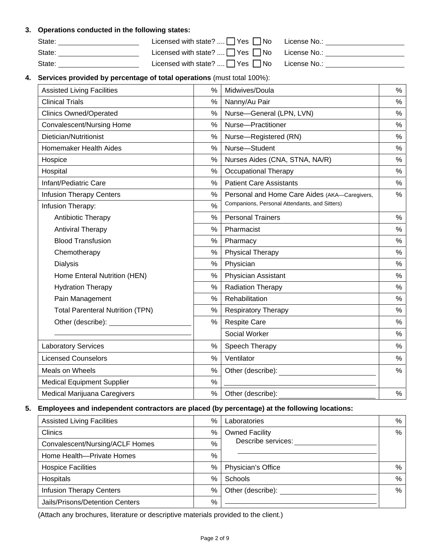#### **3. Operations conducted in the following states:**

| State: | Licensed with state? $\Box$ Yes $\Box$ No License No.: |  |
|--------|--------------------------------------------------------|--|
| State: | Licensed with state? $\Box$ Yes $\Box$ No License No.: |  |
| State: | Licensed with state? $\Box$ Yes $\Box$ No License No.: |  |

## **4. Services provided by percentage of total operations** (must total 100%):

| <b>Assisted Living Facilities</b><br>%<br>Midwives/Doula<br><b>Clinical Trials</b><br>%<br>Nanny/Au Pair<br>%<br>Nurse-General (LPN, LVN)<br><b>Clinics Owned/Operated</b><br>Convalescent/Nursing Home<br>Nurse-Practitioner<br>%<br>Dietician/Nutritionist<br>Nurse-Registered (RN)<br>%<br>Nurse-Student<br>Homemaker Health Aides<br>%<br>%<br>Nurses Aides (CNA, STNA, NA/R)<br>Hospice<br>Hospital<br>%<br><b>Occupational Therapy</b><br>Infant/Pediatric Care<br>%<br><b>Patient Care Assistants</b><br><b>Infusion Therapy Centers</b><br>%<br>Personal and Home Care Aides (AKA-Caregivers,<br>Companions, Personal Attendants, and Sitters)<br>$\frac{0}{0}$<br>Infusion Therapy:<br>%<br><b>Personal Trainers</b><br>Antibiotic Therapy<br>%<br>Pharmacist<br><b>Antiviral Therapy</b><br><b>Blood Transfusion</b><br>%<br>Pharmacy<br>%<br><b>Physical Therapy</b><br>Chemotherapy<br>Physician<br>%<br><b>Dialysis</b><br>Physician Assistant<br>%<br>Home Enteral Nutrition (HEN)<br><b>Radiation Therapy</b><br>%<br><b>Hydration Therapy</b><br>$\%$<br>Rehabilitation<br>Pain Management<br><b>Total Parenteral Nutrition (TPN)</b><br>%<br><b>Respiratory Therapy</b> | %<br>$\%$<br>%<br>%<br>$\%$<br>%<br>%<br>%<br>% |
|------------------------------------------------------------------------------------------------------------------------------------------------------------------------------------------------------------------------------------------------------------------------------------------------------------------------------------------------------------------------------------------------------------------------------------------------------------------------------------------------------------------------------------------------------------------------------------------------------------------------------------------------------------------------------------------------------------------------------------------------------------------------------------------------------------------------------------------------------------------------------------------------------------------------------------------------------------------------------------------------------------------------------------------------------------------------------------------------------------------------------------------------------------------------------------------|-------------------------------------------------|
|                                                                                                                                                                                                                                                                                                                                                                                                                                                                                                                                                                                                                                                                                                                                                                                                                                                                                                                                                                                                                                                                                                                                                                                          |                                                 |
|                                                                                                                                                                                                                                                                                                                                                                                                                                                                                                                                                                                                                                                                                                                                                                                                                                                                                                                                                                                                                                                                                                                                                                                          |                                                 |
|                                                                                                                                                                                                                                                                                                                                                                                                                                                                                                                                                                                                                                                                                                                                                                                                                                                                                                                                                                                                                                                                                                                                                                                          |                                                 |
|                                                                                                                                                                                                                                                                                                                                                                                                                                                                                                                                                                                                                                                                                                                                                                                                                                                                                                                                                                                                                                                                                                                                                                                          |                                                 |
|                                                                                                                                                                                                                                                                                                                                                                                                                                                                                                                                                                                                                                                                                                                                                                                                                                                                                                                                                                                                                                                                                                                                                                                          |                                                 |
|                                                                                                                                                                                                                                                                                                                                                                                                                                                                                                                                                                                                                                                                                                                                                                                                                                                                                                                                                                                                                                                                                                                                                                                          |                                                 |
|                                                                                                                                                                                                                                                                                                                                                                                                                                                                                                                                                                                                                                                                                                                                                                                                                                                                                                                                                                                                                                                                                                                                                                                          |                                                 |
|                                                                                                                                                                                                                                                                                                                                                                                                                                                                                                                                                                                                                                                                                                                                                                                                                                                                                                                                                                                                                                                                                                                                                                                          |                                                 |
|                                                                                                                                                                                                                                                                                                                                                                                                                                                                                                                                                                                                                                                                                                                                                                                                                                                                                                                                                                                                                                                                                                                                                                                          |                                                 |
|                                                                                                                                                                                                                                                                                                                                                                                                                                                                                                                                                                                                                                                                                                                                                                                                                                                                                                                                                                                                                                                                                                                                                                                          | %                                               |
|                                                                                                                                                                                                                                                                                                                                                                                                                                                                                                                                                                                                                                                                                                                                                                                                                                                                                                                                                                                                                                                                                                                                                                                          |                                                 |
|                                                                                                                                                                                                                                                                                                                                                                                                                                                                                                                                                                                                                                                                                                                                                                                                                                                                                                                                                                                                                                                                                                                                                                                          | %                                               |
|                                                                                                                                                                                                                                                                                                                                                                                                                                                                                                                                                                                                                                                                                                                                                                                                                                                                                                                                                                                                                                                                                                                                                                                          | %                                               |
|                                                                                                                                                                                                                                                                                                                                                                                                                                                                                                                                                                                                                                                                                                                                                                                                                                                                                                                                                                                                                                                                                                                                                                                          | %                                               |
|                                                                                                                                                                                                                                                                                                                                                                                                                                                                                                                                                                                                                                                                                                                                                                                                                                                                                                                                                                                                                                                                                                                                                                                          | $\%$                                            |
|                                                                                                                                                                                                                                                                                                                                                                                                                                                                                                                                                                                                                                                                                                                                                                                                                                                                                                                                                                                                                                                                                                                                                                                          | %                                               |
|                                                                                                                                                                                                                                                                                                                                                                                                                                                                                                                                                                                                                                                                                                                                                                                                                                                                                                                                                                                                                                                                                                                                                                                          | %                                               |
|                                                                                                                                                                                                                                                                                                                                                                                                                                                                                                                                                                                                                                                                                                                                                                                                                                                                                                                                                                                                                                                                                                                                                                                          | %                                               |
|                                                                                                                                                                                                                                                                                                                                                                                                                                                                                                                                                                                                                                                                                                                                                                                                                                                                                                                                                                                                                                                                                                                                                                                          | %                                               |
|                                                                                                                                                                                                                                                                                                                                                                                                                                                                                                                                                                                                                                                                                                                                                                                                                                                                                                                                                                                                                                                                                                                                                                                          | %                                               |
| <b>Respite Care</b><br>$\frac{0}{0}$<br>Other (describe):                                                                                                                                                                                                                                                                                                                                                                                                                                                                                                                                                                                                                                                                                                                                                                                                                                                                                                                                                                                                                                                                                                                                | %                                               |
| Social Worker                                                                                                                                                                                                                                                                                                                                                                                                                                                                                                                                                                                                                                                                                                                                                                                                                                                                                                                                                                                                                                                                                                                                                                            | %                                               |
| <b>Laboratory Services</b><br>%<br>Speech Therapy                                                                                                                                                                                                                                                                                                                                                                                                                                                                                                                                                                                                                                                                                                                                                                                                                                                                                                                                                                                                                                                                                                                                        | %                                               |
| <b>Licensed Counselors</b><br>%<br>Ventilator                                                                                                                                                                                                                                                                                                                                                                                                                                                                                                                                                                                                                                                                                                                                                                                                                                                                                                                                                                                                                                                                                                                                            | %                                               |
| Meals on Wheels<br>%<br>Other (describe):                                                                                                                                                                                                                                                                                                                                                                                                                                                                                                                                                                                                                                                                                                                                                                                                                                                                                                                                                                                                                                                                                                                                                | $\frac{0}{0}$                                   |
| <b>Medical Equipment Supplier</b><br>$\frac{0}{0}$                                                                                                                                                                                                                                                                                                                                                                                                                                                                                                                                                                                                                                                                                                                                                                                                                                                                                                                                                                                                                                                                                                                                       |                                                 |
| Medical Marijuana Caregivers<br>$\%$<br>Other (describe):                                                                                                                                                                                                                                                                                                                                                                                                                                                                                                                                                                                                                                                                                                                                                                                                                                                                                                                                                                                                                                                                                                                                |                                                 |

#### **5. Employees and independent contractors are placed (by percentage) at the following locations:**

| <b>Assisted Living Facilities</b> |   | Laboratories          | % |
|-----------------------------------|---|-----------------------|---|
| Clinics                           |   | <b>Owned Facility</b> | % |
| Convalescent/Nursing/ACLF Homes   |   | Describe services:    |   |
| Home Health-Private Homes         | % |                       |   |
| <b>Hospice Facilities</b>         | % | Physician's Office    | % |
| Hospitals                         | % | Schools               | % |
| <b>Infusion Therapy Centers</b>   |   | Other (describe):     | % |
| Jails/Prisons/Detention Centers   | % |                       |   |

(Attach any brochures, literature or descriptive materials provided to the client.)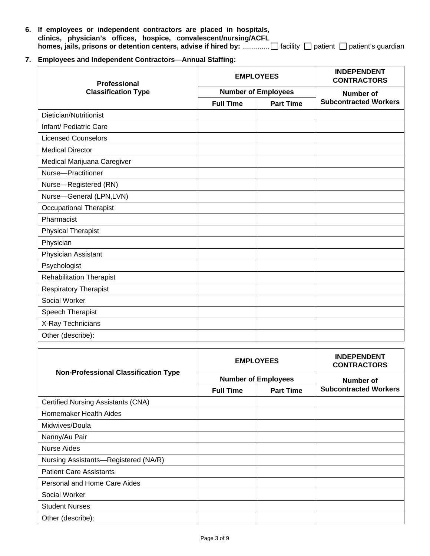- **6. If employees or independent contractors are placed in hospitals, clinics, physician's offices, hospice, convalescent/nursing/ACFL homes, jails, prisons or detention centers, advise if hired by:** .............. facility patient patient's guardian
- **7. Employees and Independent Contractors—Annual Staffing:**

| <b>Professional</b>             |                  | <b>EMPLOYEES</b>           | <b>INDEPENDENT</b><br><b>CONTRACTORS</b> |  |
|---------------------------------|------------------|----------------------------|------------------------------------------|--|
| <b>Classification Type</b>      |                  | <b>Number of Employees</b> | <b>Number of</b>                         |  |
|                                 | <b>Full Time</b> | <b>Part Time</b>           | <b>Subcontracted Workers</b>             |  |
| Dietician/Nutritionist          |                  |                            |                                          |  |
| Infant/ Pediatric Care          |                  |                            |                                          |  |
| <b>Licensed Counselors</b>      |                  |                            |                                          |  |
| <b>Medical Director</b>         |                  |                            |                                          |  |
| Medical Marijuana Caregiver     |                  |                            |                                          |  |
| Nurse-Practitioner              |                  |                            |                                          |  |
| Nurse-Registered (RN)           |                  |                            |                                          |  |
| Nurse-General (LPN,LVN)         |                  |                            |                                          |  |
| <b>Occupational Therapist</b>   |                  |                            |                                          |  |
| Pharmacist                      |                  |                            |                                          |  |
| <b>Physical Therapist</b>       |                  |                            |                                          |  |
| Physician                       |                  |                            |                                          |  |
| Physician Assistant             |                  |                            |                                          |  |
| Psychologist                    |                  |                            |                                          |  |
| <b>Rehabilitation Therapist</b> |                  |                            |                                          |  |
| <b>Respiratory Therapist</b>    |                  |                            |                                          |  |
| Social Worker                   |                  |                            |                                          |  |
| Speech Therapist                |                  |                            |                                          |  |
| X-Ray Technicians               |                  |                            |                                          |  |
| Other (describe):               |                  |                            |                                          |  |

| <b>Non-Professional Classification Type</b> |                                      | <b>EMPLOYEES</b>           | <b>INDEPENDENT</b><br><b>CONTRACTORS</b> |  |
|---------------------------------------------|--------------------------------------|----------------------------|------------------------------------------|--|
|                                             |                                      | <b>Number of Employees</b> | Number of                                |  |
|                                             | <b>Full Time</b><br><b>Part Time</b> |                            | <b>Subcontracted Workers</b>             |  |
| Certified Nursing Assistants (CNA)          |                                      |                            |                                          |  |
| Homemaker Health Aides                      |                                      |                            |                                          |  |
| Midwives/Doula                              |                                      |                            |                                          |  |
| Nanny/Au Pair                               |                                      |                            |                                          |  |
| Nurse Aides                                 |                                      |                            |                                          |  |
| Nursing Assistants-Registered (NA/R)        |                                      |                            |                                          |  |
| <b>Patient Care Assistants</b>              |                                      |                            |                                          |  |
| Personal and Home Care Aides                |                                      |                            |                                          |  |
| Social Worker                               |                                      |                            |                                          |  |
| <b>Student Nurses</b>                       |                                      |                            |                                          |  |
| Other (describe):                           |                                      |                            |                                          |  |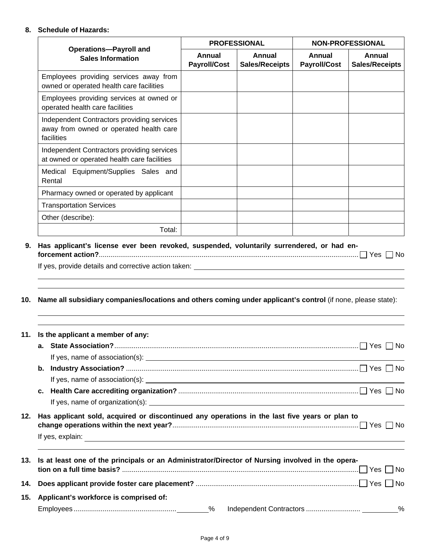#### **8. Schedule of Hazards:**

| <b>Operations-Payroll and</b><br><b>Sales Information</b>                                                                                                                                                                                                                                                                                                                                                                                                                                                                                                                                                      |                               | <b>PROFESSIONAL</b>                    | <b>NON-PROFESSIONAL</b>              |                                 |
|----------------------------------------------------------------------------------------------------------------------------------------------------------------------------------------------------------------------------------------------------------------------------------------------------------------------------------------------------------------------------------------------------------------------------------------------------------------------------------------------------------------------------------------------------------------------------------------------------------------|-------------------------------|----------------------------------------|--------------------------------------|---------------------------------|
|                                                                                                                                                                                                                                                                                                                                                                                                                                                                                                                                                                                                                | Annual<br><b>Payroll/Cost</b> | <b>Annual</b><br><b>Sales/Receipts</b> | <b>Annual</b><br><b>Payroll/Cost</b> | Annual<br><b>Sales/Receipts</b> |
| Employees providing services away from<br>owned or operated health care facilities                                                                                                                                                                                                                                                                                                                                                                                                                                                                                                                             |                               |                                        |                                      |                                 |
| Employees providing services at owned or<br>operated health care facilities                                                                                                                                                                                                                                                                                                                                                                                                                                                                                                                                    |                               |                                        |                                      |                                 |
| Independent Contractors providing services<br>away from owned or operated health care<br>facilities                                                                                                                                                                                                                                                                                                                                                                                                                                                                                                            |                               |                                        |                                      |                                 |
| Independent Contractors providing services<br>at owned or operated health care facilities                                                                                                                                                                                                                                                                                                                                                                                                                                                                                                                      |                               |                                        |                                      |                                 |
| Medical Equipment/Supplies Sales and<br>Rental                                                                                                                                                                                                                                                                                                                                                                                                                                                                                                                                                                 |                               |                                        |                                      |                                 |
| Pharmacy owned or operated by applicant                                                                                                                                                                                                                                                                                                                                                                                                                                                                                                                                                                        |                               |                                        |                                      |                                 |
| <b>Transportation Services</b>                                                                                                                                                                                                                                                                                                                                                                                                                                                                                                                                                                                 |                               |                                        |                                      |                                 |
| Other (describe):                                                                                                                                                                                                                                                                                                                                                                                                                                                                                                                                                                                              |                               |                                        |                                      |                                 |
| Total:                                                                                                                                                                                                                                                                                                                                                                                                                                                                                                                                                                                                         |                               |                                        |                                      |                                 |
|                                                                                                                                                                                                                                                                                                                                                                                                                                                                                                                                                                                                                |                               |                                        |                                      |                                 |
|                                                                                                                                                                                                                                                                                                                                                                                                                                                                                                                                                                                                                |                               |                                        |                                      |                                 |
|                                                                                                                                                                                                                                                                                                                                                                                                                                                                                                                                                                                                                |                               |                                        |                                      |                                 |
|                                                                                                                                                                                                                                                                                                                                                                                                                                                                                                                                                                                                                |                               |                                        |                                      |                                 |
|                                                                                                                                                                                                                                                                                                                                                                                                                                                                                                                                                                                                                |                               |                                        |                                      |                                 |
|                                                                                                                                                                                                                                                                                                                                                                                                                                                                                                                                                                                                                |                               |                                        |                                      |                                 |
|                                                                                                                                                                                                                                                                                                                                                                                                                                                                                                                                                                                                                |                               |                                        |                                      |                                 |
|                                                                                                                                                                                                                                                                                                                                                                                                                                                                                                                                                                                                                |                               |                                        |                                      |                                 |
|                                                                                                                                                                                                                                                                                                                                                                                                                                                                                                                                                                                                                |                               |                                        |                                      |                                 |
|                                                                                                                                                                                                                                                                                                                                                                                                                                                                                                                                                                                                                |                               |                                        |                                      |                                 |
| If yes, provide details and corrective action taken: <b>All and Structure and Structure and Structure and Structure and Structure and Structure and Structure and Structure and Structure and Structure and Structure and Struct</b><br>Name all subsidiary companies/locations and others coming under applicant's control (if none, please state):<br>11. Is the applicant a member of any:<br>b.<br>c.<br>Has applicant sold, acquired or discontinued any operations in the last five years or plan to<br>Is at least one of the principals or an Administrator/Director of Nursing involved in the opera- |                               |                                        |                                      |                                 |
| Applicant's workforce is comprised of:                                                                                                                                                                                                                                                                                                                                                                                                                                                                                                                                                                         |                               |                                        |                                      |                                 |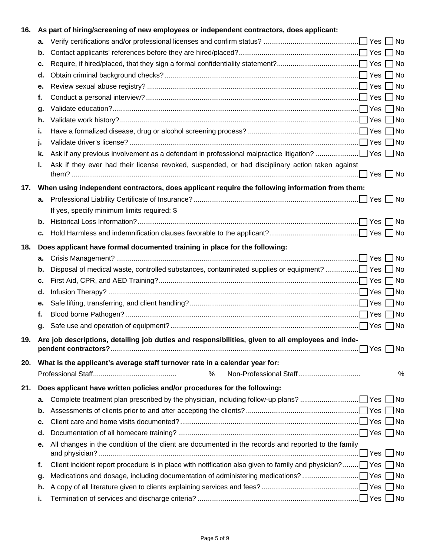| 16. |    | As part of hiring/screening of new employees or independent contractors, does applicant:                                |   |
|-----|----|-------------------------------------------------------------------------------------------------------------------------|---|
|     | а. |                                                                                                                         |   |
|     | b. |                                                                                                                         |   |
|     | c. |                                                                                                                         |   |
|     | d. |                                                                                                                         |   |
|     | е. |                                                                                                                         |   |
|     | f. |                                                                                                                         |   |
|     | g. |                                                                                                                         |   |
|     | h. |                                                                                                                         |   |
|     | i. |                                                                                                                         |   |
|     | J. |                                                                                                                         |   |
|     | k. |                                                                                                                         |   |
|     | ı. | Ask if they ever had their license revoked, suspended, or had disciplinary action taken against                         |   |
| 17. |    | When using independent contractors, does applicant require the following information from them:                         |   |
|     | а. |                                                                                                                         |   |
|     |    | If yes, specify minimum limits required: \$                                                                             |   |
|     | b. |                                                                                                                         |   |
|     | c. |                                                                                                                         |   |
| 18. |    | Does applicant have formal documented training in place for the following:                                              |   |
|     | а. |                                                                                                                         |   |
|     | b. | Disposal of medical waste, controlled substances, contaminated supplies or equipment? □ Yes □ No                        |   |
|     | c. |                                                                                                                         |   |
|     | d. |                                                                                                                         |   |
|     | е. |                                                                                                                         |   |
|     | f. |                                                                                                                         |   |
|     | g. |                                                                                                                         |   |
| 19. |    | Are job descriptions, detailing job duties and responsibilities, given to all employees and inde-                       |   |
| 20. |    | What is the applicant's average staff turnover rate in a calendar year for:                                             |   |
|     |    |                                                                                                                         | % |
| 21. |    | Does applicant have written policies and/or procedures for the following:                                               |   |
|     | а. |                                                                                                                         |   |
|     | b. |                                                                                                                         |   |
|     | c. |                                                                                                                         |   |
|     | d. |                                                                                                                         |   |
|     | е. | All changes in the condition of the client are documented in the records and reported to the family                     |   |
|     | f. | Client incident report procedure is in place with notification also given to family and physician? $\Box$ Yes $\Box$ No |   |
|     | g. |                                                                                                                         |   |
|     | h. |                                                                                                                         |   |
|     | i. |                                                                                                                         |   |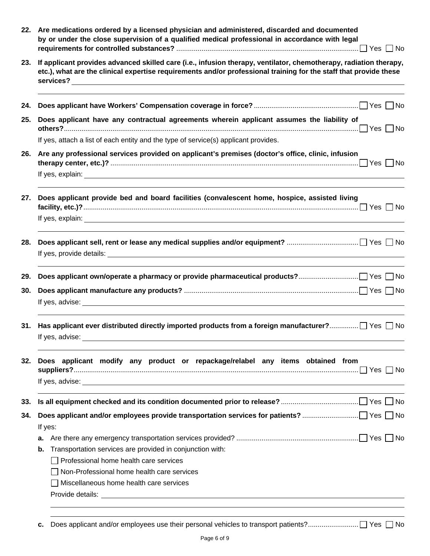|     | 22. Are medications ordered by a licensed physician and administered, discarded and documented<br>by or under the close supervision of a qualified medical professional in accordance with legal                                       |
|-----|----------------------------------------------------------------------------------------------------------------------------------------------------------------------------------------------------------------------------------------|
| 23. | If applicant provides advanced skilled care (i.e., infusion therapy, ventilator, chemotherapy, radiation therapy,<br>etc.), what are the clinical expertise requirements and/or professional training for the staff that provide these |
| 24. |                                                                                                                                                                                                                                        |
| 25. | Does applicant have any contractual agreements wherein applicant assumes the liability of                                                                                                                                              |
|     | If yes, attach a list of each entity and the type of service(s) applicant provides.                                                                                                                                                    |
| 26. | Are any professional services provided on applicant's premises (doctor's office, clinic, infusion                                                                                                                                      |
|     |                                                                                                                                                                                                                                        |
| 27. | Does applicant provide bed and board facilities (convalescent home, hospice, assisted living                                                                                                                                           |
|     |                                                                                                                                                                                                                                        |
| 28. |                                                                                                                                                                                                                                        |
|     | If yes, provide details: <u>example and the set of the set of the set of the set of the set of the set of the set of the set of the set of the set of the set of the set of the set of the set of the set of the set of the set </u>   |
| 29. |                                                                                                                                                                                                                                        |
| 30. |                                                                                                                                                                                                                                        |
|     |                                                                                                                                                                                                                                        |
| 31. |                                                                                                                                                                                                                                        |
|     | If yes, advise:                                                                                                                                                                                                                        |
| 32. | Does applicant modify any product or repackage/relabel any items obtained from                                                                                                                                                         |
|     |                                                                                                                                                                                                                                        |
|     |                                                                                                                                                                                                                                        |
| 33. |                                                                                                                                                                                                                                        |
| 34. |                                                                                                                                                                                                                                        |
|     | If yes:                                                                                                                                                                                                                                |
|     |                                                                                                                                                                                                                                        |
|     | Transportation services are provided in conjunction with:<br>b.                                                                                                                                                                        |
|     | $\Box$ Professional home health care services                                                                                                                                                                                          |
|     | Non-Professional home health care services                                                                                                                                                                                             |
|     | Miscellaneous home health care services                                                                                                                                                                                                |
|     |                                                                                                                                                                                                                                        |
|     |                                                                                                                                                                                                                                        |

**c.** Does applicant and/or employees use their personal vehicles to transport patients? .......................... Yes No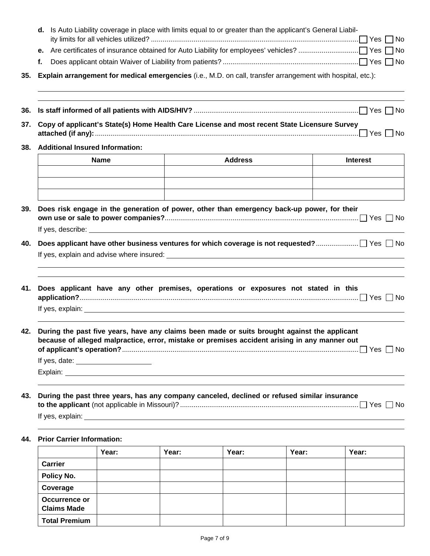|     | d. Is Auto Liability coverage in place with limits equal to or greater than the applicant's General Liabil- |                                         |                                                                                                                                                                                                                                      |                 |  |  |  |
|-----|-------------------------------------------------------------------------------------------------------------|-----------------------------------------|--------------------------------------------------------------------------------------------------------------------------------------------------------------------------------------------------------------------------------------|-----------------|--|--|--|
|     |                                                                                                             |                                         |                                                                                                                                                                                                                                      |                 |  |  |  |
|     | f.                                                                                                          |                                         |                                                                                                                                                                                                                                      |                 |  |  |  |
| 35. |                                                                                                             |                                         | Explain arrangement for medical emergencies (i.e., M.D. on call, transfer arrangement with hospital, etc.):                                                                                                                          |                 |  |  |  |
| 36. |                                                                                                             |                                         | ,我们也不会有什么。""我们的人,我们也不会有什么?""我们的人,我们也不会有什么?""我们的人,我们也不会有什么?""我们的人,我们也不会有什么?""我们的人                                                                                                                                                     |                 |  |  |  |
| 37. |                                                                                                             |                                         | Copy of applicant's State(s) Home Health Care License and most recent State Licensure Survey                                                                                                                                         |                 |  |  |  |
|     |                                                                                                             | 38. Additional Insured Information:     |                                                                                                                                                                                                                                      |                 |  |  |  |
|     |                                                                                                             | <b>Name</b>                             | <b>Address</b>                                                                                                                                                                                                                       | <b>Interest</b> |  |  |  |
|     |                                                                                                             |                                         |                                                                                                                                                                                                                                      |                 |  |  |  |
|     |                                                                                                             |                                         |                                                                                                                                                                                                                                      |                 |  |  |  |
| 39. |                                                                                                             |                                         | Does risk engage in the generation of power, other than emergency back-up power, for their                                                                                                                                           |                 |  |  |  |
| 40. |                                                                                                             |                                         |                                                                                                                                                                                                                                      |                 |  |  |  |
|     |                                                                                                             |                                         |                                                                                                                                                                                                                                      |                 |  |  |  |
|     |                                                                                                             |                                         | 41. Does applicant have any other premises, operations or exposures not stated in this                                                                                                                                               |                 |  |  |  |
| 42. |                                                                                                             |                                         | During the past five years, have any claims been made or suits brought against the applicant<br>because of alleged malpractice, error, mistake or premises accident arising in any manner out                                        |                 |  |  |  |
|     |                                                                                                             | If yes, date: _________________________ |                                                                                                                                                                                                                                      |                 |  |  |  |
|     |                                                                                                             |                                         | Explain: <u>contract and contract and contract and contract and contract and contract and contract and contract and contract and contract and contract and contract and contract and contract and contract and contract and cont</u> |                 |  |  |  |
| 43. |                                                                                                             |                                         | During the past three years, has any company canceled, declined or refused similar insurance                                                                                                                                         |                 |  |  |  |
|     |                                                                                                             |                                         |                                                                                                                                                                                                                                      |                 |  |  |  |

### **44. Prior Carrier Information:**

|                                            | Year: | Year: | Year: | Year: | Year: |
|--------------------------------------------|-------|-------|-------|-------|-------|
| Carrier                                    |       |       |       |       |       |
| Policy No.                                 |       |       |       |       |       |
| Coverage                                   |       |       |       |       |       |
| <b>Occurrence or</b><br><b>Claims Made</b> |       |       |       |       |       |
| <b>Total Premium</b>                       |       |       |       |       |       |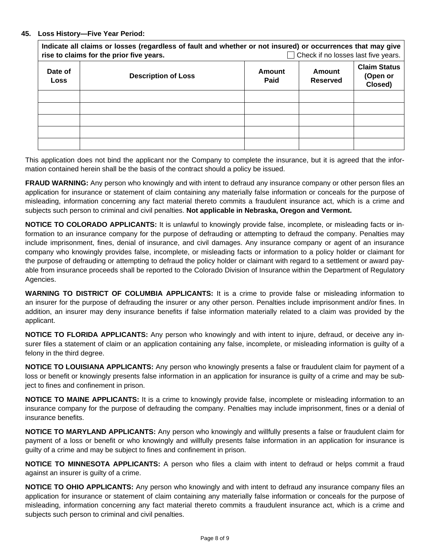#### **45. Loss History—Five Year Period:**

| Indicate all claims or losses (regardless of fault and whether or not insured) or occurrences that may give<br>$\Box$ Check if no losses last five years.<br>rise to claims for the prior five years. |                            |                |                    |                                            |  |
|-------------------------------------------------------------------------------------------------------------------------------------------------------------------------------------------------------|----------------------------|----------------|--------------------|--------------------------------------------|--|
| Date of<br>Loss                                                                                                                                                                                       | <b>Description of Loss</b> | Amount<br>Paid | Amount<br>Reserved | <b>Claim Status</b><br>(Open or<br>Closed) |  |
|                                                                                                                                                                                                       |                            |                |                    |                                            |  |
|                                                                                                                                                                                                       |                            |                |                    |                                            |  |
|                                                                                                                                                                                                       |                            |                |                    |                                            |  |
|                                                                                                                                                                                                       |                            |                |                    |                                            |  |
|                                                                                                                                                                                                       |                            |                |                    |                                            |  |

This application does not bind the applicant nor the Company to complete the insurance, but it is agreed that the information contained herein shall be the basis of the contract should a policy be issued.

**FRAUD WARNING:** Any person who knowingly and with intent to defraud any insurance company or other person files an application for insurance or statement of claim containing any materially false information or conceals for the purpose of misleading, information concerning any fact material thereto commits a fraudulent insurance act, which is a crime and subjects such person to criminal and civil penalties. **Not applicable in Nebraska, Oregon and Vermont.**

**NOTICE TO COLORADO APPLICANTS:** It is unlawful to knowingly provide false, incomplete, or misleading facts or information to an insurance company for the purpose of defrauding or attempting to defraud the company. Penalties may include imprisonment, fines, denial of insurance, and civil damages. Any insurance company or agent of an insurance company who knowingly provides false, incomplete, or misleading facts or information to a policy holder or claimant for the purpose of defrauding or attempting to defraud the policy holder or claimant with regard to a settlement or award payable from insurance proceeds shall be reported to the Colorado Division of Insurance within the Department of Regulatory Agencies.

**WARNING TO DISTRICT OF COLUMBIA APPLICANTS:** It is a crime to provide false or misleading information to an insurer for the purpose of defrauding the insurer or any other person. Penalties include imprisonment and/or fines. In addition, an insurer may deny insurance benefits if false information materially related to a claim was provided by the applicant.

**NOTICE TO FLORIDA APPLICANTS:** Any person who knowingly and with intent to injure, defraud, or deceive any insurer files a statement of claim or an application containing any false, incomplete, or misleading information is guilty of a felony in the third degree.

**NOTICE TO LOUISIANA APPLICANTS:** Any person who knowingly presents a false or fraudulent claim for payment of a loss or benefit or knowingly presents false information in an application for insurance is guilty of a crime and may be subject to fines and confinement in prison.

**NOTICE TO MAINE APPLICANTS:** It is a crime to knowingly provide false, incomplete or misleading information to an insurance company for the purpose of defrauding the company. Penalties may include imprisonment, fines or a denial of insurance benefits.

**NOTICE TO MARYLAND APPLICANTS:** Any person who knowingly and willfully presents a false or fraudulent claim for payment of a loss or benefit or who knowingly and willfully presents false information in an application for insurance is guilty of a crime and may be subject to fines and confinement in prison.

**NOTICE TO MINNESOTA APPLICANTS:** A person who files a claim with intent to defraud or helps commit a fraud against an insurer is guilty of a crime.

**NOTICE TO OHIO APPLICANTS:** Any person who knowingly and with intent to defraud any insurance company files an application for insurance or statement of claim containing any materially false information or conceals for the purpose of misleading, information concerning any fact material thereto commits a fraudulent insurance act, which is a crime and subjects such person to criminal and civil penalties.